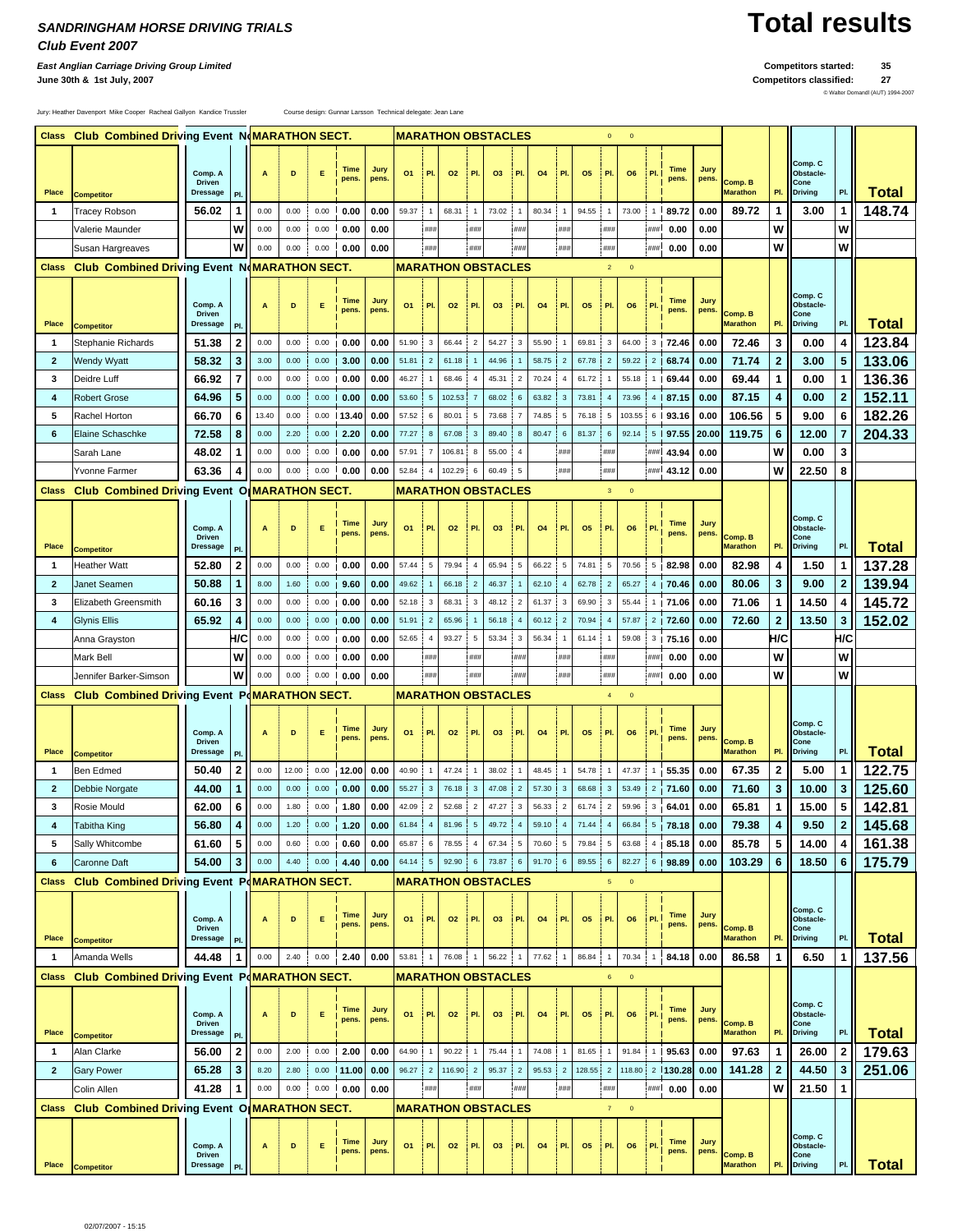## *SANDRINGHAM HORSE DRIVING TRIALS* **Total results** *Club Event 2007*

*East Anglian Carriage Driving Group Limited* **Competitors started: 35**

**June 30th & 1st July, 2007 Competitors classified: 27**

© Walter Domandl (AUT) 1994-2007

Jury: Heather Davenport Mike Cooper Racheal Gallyon Kandice Trussler Course design: Gunnar Larsson Technical delegate: Jean Lane

|              | Class Club Combined Driving Event NoMARATHON SECT. |                                             |                |                  |       |      |                      |               |                           | <b>MARATHON OBSTACLES</b> |        |                |                           |                         | $\mathbf{0}$ | $\mathbf{0}$   |           |                         |                |              |                      |               |                            |                         |                                                |                         |              |
|--------------|----------------------------------------------------|---------------------------------------------|----------------|------------------|-------|------|----------------------|---------------|---------------------------|---------------------------|--------|----------------|---------------------------|-------------------------|--------------|----------------|-----------|-------------------------|----------------|--------------|----------------------|---------------|----------------------------|-------------------------|------------------------------------------------|-------------------------|--------------|
| Place        | <b>Competitor</b>                                  | Comp. A<br><b>Driven</b><br><b>Dressage</b> | PI.            | A                | D     | Е    | <b>Time</b><br>pens. | Jury<br>pens. | 01                        | PI.                       | 02     | PI             | O <sub>3</sub>            | PI.                     | 04           | PI.            | 05        | PI.                     | O <sub>6</sub> | PI.          | <b>Time</b><br>pens. | Jury<br>pens. | Comp. B<br><b>Marathon</b> | PI                      | Comp. C<br>Obstacle-<br>Cone<br><b>Driving</b> | PI.                     | <b>Total</b> |
| $\mathbf{1}$ | <b>Tracey Robson</b>                               | 56.02                                       | 1              | 0.00             | 0.00  | 0.00 | 0.00                 | 0.00          | 59.37                     | $\overline{1}$            | 68.31  |                | 73.02                     | $\overline{1}$          | 80.34        | $\overline{1}$ | 94.55     | $\overline{1}$          | 73.00          |              | 89.72                | 0.00          | 89.72                      | 1                       | 3.00                                           | $\mathbf{1}$            | 148.74       |
|              | Valerie Maunder                                    |                                             | W              | 0.00             | 0.00  | 0.00 | 0.00                 | 0.00          |                           | ###                       |        | ###            |                           | ###                     |              | ###            |           | ###                     |                | ###          | 0.00                 | 0.00          |                            | W                       |                                                | W                       |              |
|              | Susan Hargreaves                                   |                                             | W              | 0.00             | 0.00  | 0.00 | 0.00                 | 0.00          |                           | ###                       |        | ###            |                           | ###                     |              | ###            |           | ###                     |                | ###          | 0.00                 | 0.00          |                            | W                       |                                                | w                       |              |
|              | Class Club Combined Driving Event NoMARATHON SECT. |                                             |                |                  |       |      |                      |               |                           |                           |        |                | <b>MARATHON OBSTACLES</b> |                         |              |                |           | $\overline{2}$          | $\mathbf{0}$   |              |                      |               |                            |                         |                                                |                         |              |
| Place        | <b>Competitor</b>                                  | Comp. A<br><b>Driven</b><br><b>Dressage</b> | PI             | A                | D     | Е    | <b>Time</b><br>pens. | Jury<br>pens. | 01                        | I PI.                     | 02     | PI.            | O <sub>3</sub>            | PI.                     | 04           | PI.            | <b>O5</b> | PI.                     | O <sub>6</sub> | PI           | <b>Time</b><br>pens. | Jury<br>pens. | Comp. B<br><b>Marathon</b> | PI.                     | Comp. C<br>Obstacle-<br>Cone<br><b>Driving</b> | PI.                     | <b>Total</b> |
| $\mathbf{1}$ | Stephanie Richards                                 | 51.38                                       | 2              | 0.00             | 0.00  | 0.00 | 0.00                 | 0.00          | 51.90                     | 3                         | 66.44  | $\overline{2}$ | 54.27                     | 3                       | 55.90        |                | 69.81     | 3                       | 64.00          |              | $3$ 72.46            | 0.00          | 72.46                      | 3                       | 0.00                                           | 4                       | 123.84       |
| $\mathbf{2}$ | Wendy Wyatt                                        | 58.32                                       | 3              | 3.00             | 0.00  | 0.00 | 3.00                 | 0.00          | 51.81                     | $\overline{2}$            | 61.18  |                | 44.96                     |                         | 58.75        | $\overline{2}$ | 67.78     | $\overline{\mathbf{c}}$ | 59.22          |              | $2 \mid 68.74$       | 0.00          | 71.74                      | $\mathbf{2}$            | 3.00                                           | 5                       | 133.06       |
| 3            | Deidre Luff                                        | 66.92                                       | $\overline{7}$ | 0.00             | 0.00  | 0.00 | 0.00                 | 0.00          | 46.27                     |                           | 68.46  |                | 45.31                     | $\overline{c}$          | 70.24        | $\overline{4}$ | 61.72     |                         | 55.18          |              | 69.44                | 0.00          | 69.44                      | 1                       | 0.00                                           | 1                       | 136.36       |
| 4            | <b>Robert Grose</b>                                | 64.96                                       | 5              | 0.00             | 0.00  | 0.00 | 0.00                 | 0.00          | 53.60                     | 5                         | 102.53 |                | 68.02                     | 6                       | 63.82        | 3              | 73.81     | $\overline{4}$          | 73.96          |              | 4 87.15              | 0.00          | 87.15                      | 4                       | 0.00                                           | $\boldsymbol{2}$        | 152.11       |
| 5            | Rachel Horton                                      | 66.70                                       | 6              | 13.40            | 0.00  | 0.00 | 13.40                | 0.00          | 57.52                     | 6                         | 80.01  |                | 73.68                     | $\overline{7}$          | 74.85        | 5              | 76.18     | 5                       | 103.55         |              | 6 93.16              | 0.00          | 106.56                     | 5                       | 9.00                                           | 6                       | 182.26       |
| 6            | Elaine Schaschke                                   | 72.58                                       | 8              | 0.00             | 2.20  | 0.00 | 2.20                 | 0.00          | 77.27                     | 8                         | 67.08  | 3              | 89.40                     | 8                       | 80.47        | 6              | 81.37     | 6                       | 92.14          |              | $5$   97.55          | 20.00         | 119.75                     | 6                       | 12.00                                          | $\overline{7}$          | 204.33       |
|              | Sarah Lane                                         | 48.02                                       | 1              | 0.00             | 0.00  | 0.00 | 0.00                 | 0.00          | 57.91                     | $\overline{7}$            | 106.81 | 8              | 55.00                     | $\overline{4}$          |              | ###            |           | ###                     |                |              | ### 43.94            | 0.00          |                            | W                       | 0.00                                           | 3                       |              |
|              | Yvonne Farmer                                      | 63.36                                       | 4              | 0.00             | 0.00  | 0.00 | 0.00                 | 0.00          | 52.84                     | $\overline{4}$            | 102.29 | 6              | 60.49                     | 5                       |              | ###            |           | ###                     |                |              | ### 43.12            | 0.00          |                            | W                       | 22.50                                          | 8                       |              |
|              |                                                    |                                             |                |                  |       |      |                      |               |                           |                           |        |                |                           |                         |              |                |           |                         |                |              |                      |               |                            |                         |                                                |                         |              |
| <b>Class</b> | <b>Club Combined Driving Event</b>                 |                                             |                | O MARATHON SECT. |       |      |                      |               |                           |                           |        |                | <b>MARATHON OBSTACLES</b> |                         |              |                |           | $\overline{3}$          | $\mathbf{0}$   |              |                      |               |                            |                         |                                                |                         |              |
| Place        | <b>Competitor</b>                                  | Comp. A<br><b>Driven</b><br><b>Dressage</b> | PI.            | A                | D     | Е    | <b>Time</b><br>pens. | Jury<br>pens  | 01                        | PI.                       | 02     | PI.            | <b>O3</b>                 | PI.                     | 04           | PI.            | <b>O5</b> | PI.                     | O <sub>6</sub> | P            | <b>Time</b><br>pens  | Jury<br>pens. | Comp. B<br><b>Marathon</b> | PI.                     | Comp. C<br>Obstacle-<br>Cone<br><b>Driving</b> | PI.                     | <b>Total</b> |
| $\mathbf{1}$ | Heather Watt                                       | 52.80                                       | 2              | 0.00             | 0.00  | 0.00 | 10.00                | 0.00          | 57.44                     | 5                         | 79.94  |                | 65.94                     | 5                       | 66.22        | 5              | 74.81     | 5                       | 70.56          |              | 5 82.98              | 0.00          | 82.98                      | 4                       | 1.50                                           | $\mathbf{1}$            | 137.28       |
| $\mathbf{2}$ | Janet Seamen                                       | 50.88                                       | 1              | 8.00             | 1.60  | 0.00 | 9.60                 | 0.00          | 49.62                     |                           | 66.18  | $\overline{2}$ | 46.37                     |                         | 62.10        | $\overline{4}$ | 62.78     | $\overline{2}$          | 65.27          |              | 4 70.46              | 0.00          | 80.06                      | 3                       | 9.00                                           | $\bf{2}$                | 139.94       |
| 3            | Elizabeth Greensmith                               | 60.16                                       | 3              | 0.00             | 0.00  | 0.00 | 0.00                 | 0.00          | 52.18                     | 3                         | 68.31  | 3              | 48.12                     | $\overline{\mathbf{c}}$ | 61.37        | 3              | 69.90     | 3                       | 55.44          |              | 171.06               | 0.00          | 71.06                      | 1                       | 14.50                                          | 4                       | 145.72       |
| 4            | Glynis Ellis                                       | 65.92                                       | 4              | 0.00             | 0.00  | 0.00 | 0.00                 | 0.00          | 51.91                     | $\overline{2}$            | 65.96  |                | 56.18                     | $\overline{4}$          | 60.12        | $\overline{2}$ | 70.94     | $\overline{4}$          | 57.87          |              | $2$   72.60          | 0.00          | 72.60                      | $\overline{2}$          | 13.50                                          | $\mathbf{3}$            | 152.02       |
|              | Anna Grayston                                      |                                             | H/C            | 0.00             | 0.00  | 0.00 | 10.00                | 0.00          | 52.65                     | $\overline{4}$            | 93.27  | 5              | 53.34                     | 3                       | 56.34        | $\overline{1}$ | 61.14     | $\overline{1}$          | 59.08          |              | $3$   75.16          | 0.00          |                            | H/C                     |                                                | H/C                     |              |
|              | Mark Bell                                          |                                             | w              | 0.00             | 0.00  | 0.00 | 0.00                 | 0.00          |                           | ###                       |        | ###            |                           | ###                     |              | ###            |           | ###                     |                | ###          | 0.00                 | 0.00          |                            | W                       |                                                | w                       |              |
|              | Jennifer Barker-Simson                             |                                             | w              | 0.00             | 0.00  | 0.00 | 0.00                 | 0.00          |                           | ###                       |        | ###            |                           | ###                     |              | ###            |           | ###                     |                | ###          | 0.00                 | 0.00          |                            | W                       |                                                | W                       |              |
|              |                                                    |                                             |                |                  |       |      |                      |               |                           |                           |        |                |                           |                         |              |                |           |                         |                |              |                      |               |                            |                         |                                                |                         |              |
| <b>Class</b> | Club Combined Driving Event PoMARATHON SECT.       |                                             |                |                  |       |      |                      |               |                           |                           |        |                | <b>MARATHON OBSTACLES</b> |                         |              |                |           | $\overline{4}$          | $\mathbf{0}$   |              |                      |               |                            |                         |                                                |                         |              |
| Place        | <b>Competitor</b>                                  | Comp. A<br><b>Driven</b><br><b>Dressage</b> | PI.            | A                | D     | Е    | <b>Time</b><br>pens. | Jury<br>pens. | 01                        | i Pl                      | 02     | PI.            | <b>O3</b>                 | PI.                     | 04           | PI.            | <b>O5</b> | PI.                     | O <sub>6</sub> | PI           | <b>Time</b><br>pens. | Jury<br>pens. | Comp. B<br><b>Marathon</b> | PI.                     | Comp. C<br>Obstacle-<br>Cone<br><b>Driving</b> | PI.                     | <b>Total</b> |
| $\mathbf{1}$ | Ben Edmed                                          | 50.40                                       | 2              | 0.00             | 12.00 | 0.00 | 12.00                | 0.00          | 40.90                     |                           | 47.24  |                | 38.02                     |                         | 48.45        | $\overline{1}$ | 54.78     | $\overline{1}$          | 47.37          |              | 55.35                | 0.00          | 67.35                      | $\overline{\mathbf{2}}$ | 5.00                                           | $\mathbf{1}$            | 122.75       |
| $\mathbf{2}$ | Debbie Norgate                                     | 44.00                                       | 1              | 0.00             | 0.00  | 0.00 | 0.00                 | 0.00          | 55.27                     | 3                         | 76.18  | 3              | 47.08                     | $\overline{c}$          | 57.30        | -3             | 68.68     | -3                      | 53.49          |              | 2, 71.60             | 0.00          | 71.60                      | 3                       | 10.00                                          | 3                       | 125.60       |
| 3            | Rosie Mould                                        | 62.00                                       | 6              | 0.00             | 1.80  | 0.00 | 1.80                 | 0.00          | 42.09                     | $\overline{2}$            | 52.68  | $\overline{2}$ | 47.27                     | 3                       | 56.33        | $\overline{2}$ | 61.74     | $\overline{c}$          | 59.96          |              | 3, 64.01             | 0.00          | 65.81                      | 1                       | 15.00                                          | 5                       | 142.81       |
|              | Tabitha King                                       | 56.80                                       |                | 0.00             | 1.20  |      | $0.00$ 1.20          | 0.00          | 61.84                     |                           | 81.96  |                | 49.72                     |                         | 59.10        |                | 71.44     |                         | 66.84          |              | $5$ 78.18 0.00       |               | 79.38                      |                         | 9.50                                           | 2                       | 145.68       |
| 5            | Sally Whitcombe                                    | 61.60                                       | 5              | 0.00             | 0.60  |      | $0.00$ 0.60          | 0.00          | 65.87                     | 6                         | 78.55  |                | 67.34                     | $5\phantom{.0}$         | 70.60        | $\sqrt{5}$     | 79.84     | $\sqrt{5}$              | 63.68          |              | 4 85.18              | 0.00          | 85.78                      | 5                       | 14.00                                          | 4                       | 161.38       |
| 6            | Caronne Daft                                       | 54.00                                       | 3              | 0.00             | 4.40  |      | $0.00$   4.40        | 0.00          | 64.14                     | -5                        | 92.90  | -6             | 73.87                     | 6                       | 91.70        | 6              | 89.55     | -6                      | 82.27          |              | 6 98.89              | 0.00          | 103.29                     | 6                       | 18.50                                          | 6                       | 175.79       |
|              | Class Club Combined Driving Event PoMARATHON SECT. |                                             |                |                  |       |      |                      |               | <b>MARATHON OBSTACLES</b> |                           |        |                |                           |                         |              |                |           | 5 <sub>1</sub>          | $\overline{0}$ |              |                      |               |                            |                         |                                                |                         |              |
| Place        | <b>Competitor</b>                                  | Comp. A<br><b>Driven</b><br>Dressage        | PI.            | A                | D     | Е    | Time<br>pens.        | Jury<br>pens. | 01                        | I PL                      | 02     | PI.            | O <sub>3</sub>            | PI.                     | 04           | PI.            | <b>O5</b> | PI.                     | O <sub>6</sub> | PI.          | <b>Time</b><br>pens. | Jury<br>pens. | Comp. B<br><b>Marathon</b> | PI.                     | Comp. C<br>Obstacle-<br>Cone<br><b>Driving</b> | PI.                     | <b>Total</b> |
| $\mathbf{1}$ | Amanda Wells                                       | 44.48                                       | 1              | 0.00             | 2.40  |      | $0.00$ 2.40          | 0.00          | 53.81                     | $\mathbf{1}$              | 76.08  |                | 56.22 1                   |                         | 77.62        | $\overline{1}$ | 86.84 1   |                         | 70.34          |              | 84.18                | 0.00          | 86.58                      | 1                       | 6.50                                           | 1                       | 137.56       |
|              | Class Club Combined Driving Event PoMARATHON SECT. |                                             |                |                  |       |      |                      |               |                           |                           |        |                | <b>MARATHON OBSTACLES</b> |                         |              |                |           | 6                       | $\overline{0}$ |              |                      |               |                            |                         |                                                |                         |              |
| Place        | <b>Competitor</b>                                  | Comp. A<br><b>Driven</b><br><b>Dressage</b> | PI.            | A                | D     | Е    | Time<br>pens.        | Jury<br>pens. | 01                        | PI.                       | 02     | PI.            | O <sub>3</sub>            | PI.                     | 04           | PI.            | <b>O5</b> | PI.                     | O <sub>6</sub> | PL I         | Time<br>pens.        | Jury<br>pens. | Comp. B<br><b>Marathon</b> | PI.                     | Comp. C<br>Obstacle-<br>Cone<br><b>Driving</b> | PI.                     | <b>Total</b> |
| $\mathbf{1}$ | Alan Clarke                                        | 56.00                                       | 2              | 0.00             | 2.00  | 0.00 | 12.00                | 0.00          | 64.90                     |                           | 90.22  |                | 75.44                     |                         | 74.08        | $\overline{1}$ | 81.65 1   |                         | 91.84          | $\mathbf{1}$ | 95.63                | 0.00          | 97.63                      | 1                       | 26.00                                          | $\overline{\mathbf{2}}$ | 179.63       |
| $\mathbf{2}$ | <b>Gary Power</b>                                  | 65.28                                       | 3              | 8.20             | 2.80  | 0.00 | 111.00               | 0.00          | 96.27 2                   |                           | 116.90 | $\overline{2}$ | 95.37                     | $\overline{2}$          | 95.53 2      |                | 128.55 2  |                         |                |              | 118.80 2 130.28      | 0.00          | 141.28                     | 2                       | 44.50                                          | 3                       | 251.06       |
|              | Colin Allen                                        | 41.28                                       |                | 0.00             | 0.00  | 0.00 | 0.00                 | 0.00          |                           | ###                       |        | ###            |                           | ###                     |              | ###            |           | ###                     |                |              | ### 0.00             | 0.00          |                            | W                       | 21.50                                          |                         |              |
| <b>Class</b> | Club Combined Driving Event O MARATHON SECT.       |                                             |                |                  |       |      |                      |               | <b>MARATHON OBSTACLES</b> |                           |        |                |                           |                         |              |                |           | 7 <sup>7</sup>          |                |              |                      |               |                            |                         |                                                |                         |              |
| Place        | <b>Competitor</b>                                  | Comp. A<br><b>Driven</b><br><b>Dressage</b> | PI.            | A                | D     | E    | <b>Time</b><br>pens. | Jury<br>pens. | 01                        | TPI.                      | 02     | PI.            | O <sub>3</sub>            | PI.                     | 04           | PI.            | <b>O5</b> | PI.                     | O <sub>6</sub> | PI.          | Time<br>pens.        | Jury<br>pens. | Comp. B<br><b>Marathon</b> | PI.                     | Comp. C<br>Obstacle-<br>Cone<br><b>Driving</b> | PI.                     | <b>Total</b> |